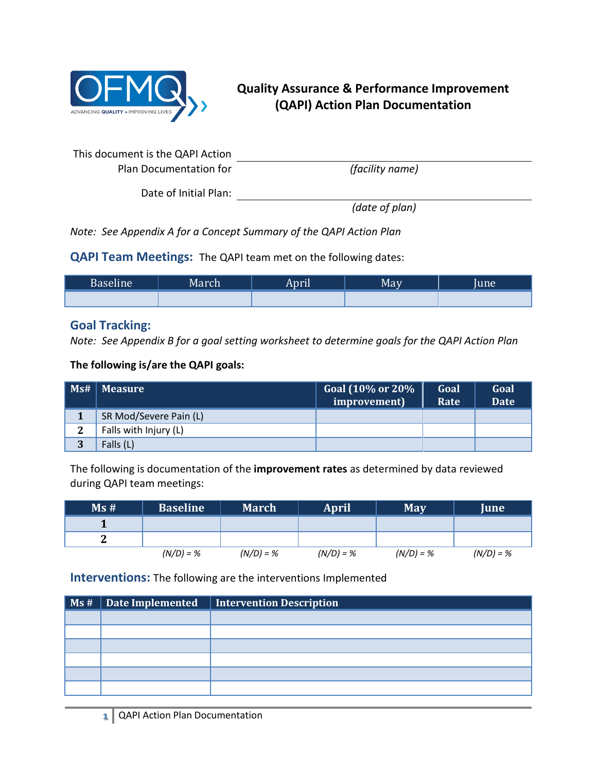

## **Quality Assurance & Performance Improvement (QAPI) Action Plan Documentation**

| This document is the QAPI Action |                 |
|----------------------------------|-----------------|
| Plan Documentation for           | (facility name) |

Date of Initial Plan:

*(date of plan)*

*Note: See Appendix A for a Concept Summary of the QAPI Action Plan*

**QAPI Team Meetings:** The QAPI team met on the following dates:

| Baseline <sup>1</sup> | March | April | May. | lune' |
|-----------------------|-------|-------|------|-------|
|                       |       |       |      |       |

### **Goal Tracking:**

*Note: See Appendix B for a goal setting worksheet to determine goals for the QAPI Action Plan*

**The following is/are the QAPI goals:**

| Ms# | <b>Measure</b>         | Goal (10% or 20%<br>improvement) | Goal<br>Rate | Goal<br><b>Date</b> |
|-----|------------------------|----------------------------------|--------------|---------------------|
|     | SR Mod/Severe Pain (L) |                                  |              |                     |
| ີ   | Falls with Injury (L)  |                                  |              |                     |
| 3   | Falls (L)              |                                  |              |                     |

The following is documentation of the **improvement rates** as determined by data reviewed during QAPI team meetings:

| Ms# | <b>Baseline</b> | <b>March</b> | <b>April</b> | <b>May</b>  | June        |
|-----|-----------------|--------------|--------------|-------------|-------------|
|     |                 |              |              |             |             |
|     |                 |              |              |             |             |
|     | $(N/D) = %$     | $(N/D) = %$  | $(N/D) = %$  | $(N/D) = %$ | $(N/D) = %$ |

**Interventions:** The following are the interventions Implemented

|  | Ms #   Date Implemented   Intervention Description |
|--|----------------------------------------------------|
|  |                                                    |
|  |                                                    |
|  |                                                    |
|  |                                                    |
|  |                                                    |
|  |                                                    |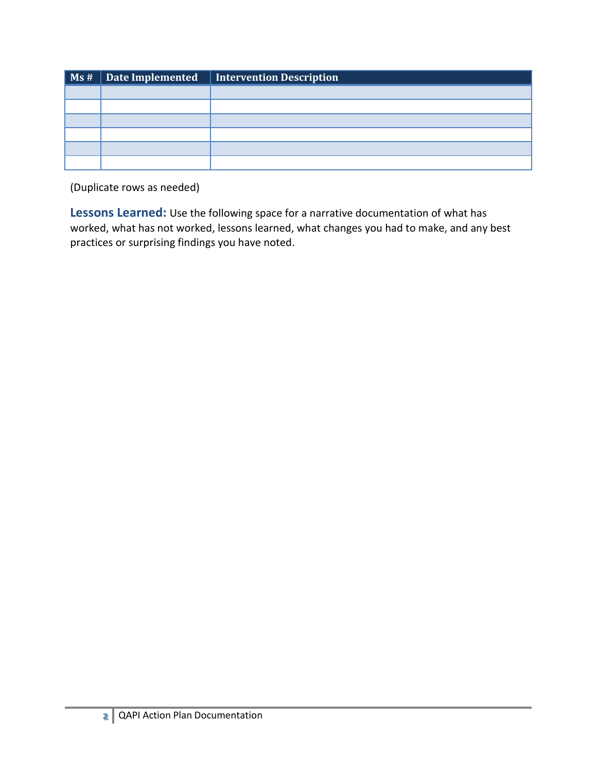|  | Ms #   Date Implemented   Intervention Description |
|--|----------------------------------------------------|
|  |                                                    |
|  |                                                    |
|  |                                                    |
|  |                                                    |
|  |                                                    |
|  |                                                    |

(Duplicate rows as needed)

**Lessons Learned:** Use the following space for a narrative documentation of what has worked, what has not worked, lessons learned, what changes you had to make, and any best practices or surprising findings you have noted.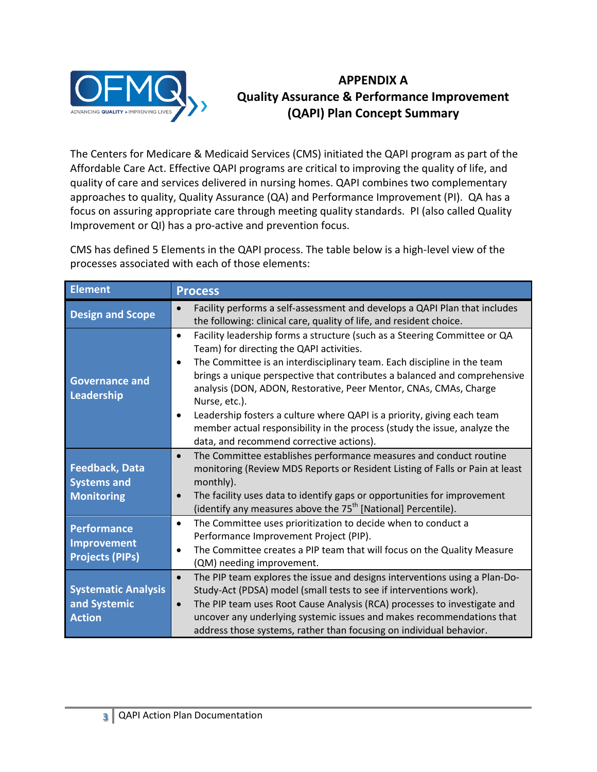

# **APPENDIX A Quality Assurance & Performance Improvement (QAPI) Plan Concept Summary**

The Centers for Medicare & Medicaid Services (CMS) initiated the QAPI program as part of the Affordable Care Act. Effective QAPI programs are critical to improving the quality of life, and quality of care and services delivered in nursing homes. QAPI combines two complementary approaches to quality, Quality Assurance (QA) and Performance Improvement (PI). QA has a focus on assuring appropriate care through meeting quality standards. PI (also called Quality Improvement or QI) has a pro-active and prevention focus.

CMS has defined 5 Elements in the QAPI process. The table below is a high-level view of the processes associated with each of those elements:

| <b>Element</b>                                                     | <b>Process</b>                                                                                                                                                                                                                                                                                                                                                                                                                                                                                                                                                                                                 |
|--------------------------------------------------------------------|----------------------------------------------------------------------------------------------------------------------------------------------------------------------------------------------------------------------------------------------------------------------------------------------------------------------------------------------------------------------------------------------------------------------------------------------------------------------------------------------------------------------------------------------------------------------------------------------------------------|
| <b>Design and Scope</b>                                            | Facility performs a self-assessment and develops a QAPI Plan that includes<br>$\bullet$<br>the following: clinical care, quality of life, and resident choice.                                                                                                                                                                                                                                                                                                                                                                                                                                                 |
| <b>Governance and</b><br>Leadership                                | Facility leadership forms a structure (such as a Steering Committee or QA<br>$\bullet$<br>Team) for directing the QAPI activities.<br>The Committee is an interdisciplinary team. Each discipline in the team<br>$\bullet$<br>brings a unique perspective that contributes a balanced and comprehensive<br>analysis (DON, ADON, Restorative, Peer Mentor, CNAs, CMAs, Charge<br>Nurse, etc.).<br>Leadership fosters a culture where QAPI is a priority, giving each team<br>$\bullet$<br>member actual responsibility in the process (study the issue, analyze the<br>data, and recommend corrective actions). |
| <b>Feedback, Data</b><br><b>Systems and</b><br><b>Monitoring</b>   | The Committee establishes performance measures and conduct routine<br>$\bullet$<br>monitoring (Review MDS Reports or Resident Listing of Falls or Pain at least<br>monthly).<br>The facility uses data to identify gaps or opportunities for improvement<br>$\bullet$<br>(identify any measures above the 75 <sup>th</sup> [National] Percentile).                                                                                                                                                                                                                                                             |
| <b>Performance</b><br><b>Improvement</b><br><b>Projects (PIPs)</b> | The Committee uses prioritization to decide when to conduct a<br>$\bullet$<br>Performance Improvement Project (PIP).<br>The Committee creates a PIP team that will focus on the Quality Measure<br>(QM) needing improvement.                                                                                                                                                                                                                                                                                                                                                                                   |
| <b>Systematic Analysis</b><br>and Systemic<br><b>Action</b>        | The PIP team explores the issue and designs interventions using a Plan-Do-<br>$\bullet$<br>Study-Act (PDSA) model (small tests to see if interventions work).<br>The PIP team uses Root Cause Analysis (RCA) processes to investigate and<br>$\bullet$<br>uncover any underlying systemic issues and makes recommendations that<br>address those systems, rather than focusing on individual behavior.                                                                                                                                                                                                         |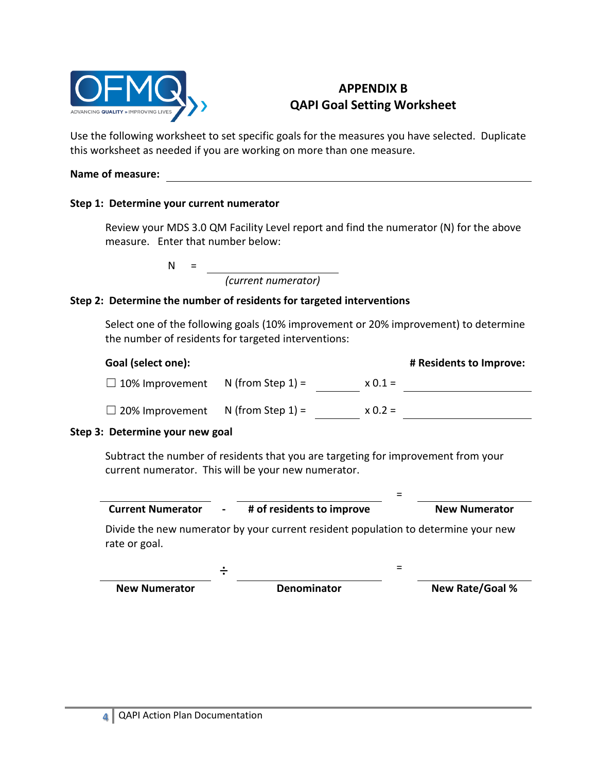

# **APPENDIX B QAPI Goal Setting Worksheet**

Use the following worksheet to set specific goals for the measures you have selected. Duplicate this worksheet as needed if you are working on more than one measure.

#### **Name of measure:**

### **Step 1: Determine your current numerator**

Review your MDS 3.0 QM Facility Level report and find the numerator (N) for the above measure. Enter that number below:

 $N =$ 

*(current numerator)*

### **Step 2: Determine the number of residents for targeted interventions**

Select one of the following goals (10% improvement or 20% improvement) to determine the number of residents for targeted interventions:

| Goal (select one):     |                      |           | # Residents to Improve: |
|------------------------|----------------------|-----------|-------------------------|
| $\Box$ 10% Improvement | N (from Step $1$ ) = | $x 0.1 =$ |                         |
| $\Box$ 20% Improvement | N (from Step $1$ ) = | $x 0.2 =$ |                         |
|                        |                      |           |                         |

#### **Step 3: Determine your new goal**

Subtract the number of residents that you are targeting for improvement from your current numerator. This will be your new numerator.

| <b>Current Numerator</b> | # of residents to improve | <b>New Numerator</b> |
|--------------------------|---------------------------|----------------------|
|                          |                           |                      |

=

Divide the new numerator by your current resident population to determine your new rate or goal.